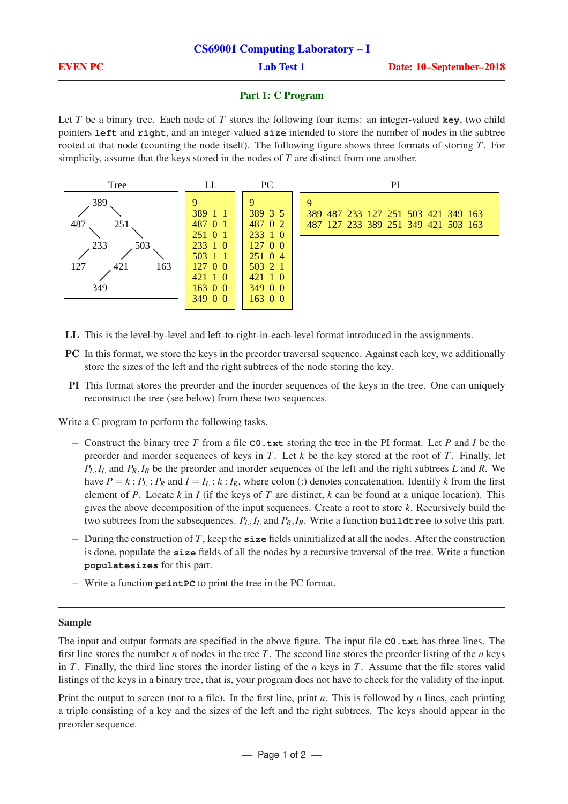### Part 1: C Program

Let *T* be a binary tree. Each node of *T* stores the following four items: an integer-valued **key**, two child pointers **left** and **right**, and an integer-valued **size** intended to store the number of nodes in the subtree rooted at that node (counting the node itself). The following figure shows three formats of storing *T*. For simplicity, assume that the keys stored in the nodes of *T* are distinct from one another.



- LL This is the level-by-level and left-to-right-in-each-level format introduced in the assignments.
- PC In this format, we store the keys in the preorder traversal sequence. Against each key, we additionally store the sizes of the left and the right subtrees of the node storing the key.
- PI This format stores the preorder and the inorder sequences of the keys in the tree. One can uniquely reconstruct the tree (see below) from these two sequences.

Write a C program to perform the following tasks.

- − Construct the binary tree *T* from a file **C0.txt** storing the tree in the PI format. Let *P* and *I* be the preorder and inorder sequences of keys in *T*. Let *k* be the key stored at the root of *T*. Finally, let *PL*,*I<sup>L</sup>* and *PR*,*I<sup>R</sup>* be the preorder and inorder sequences of the left and the right subtrees *L* and *R*. We have  $P = k : P_L : P_R$  and  $I = I_L : k : I_R$ , where colon (:) denotes concatenation. Identify *k* from the first element of *P*. Locate *k* in *I* (if the keys of *T* are distinct, *k* can be found at a unique location). This gives the above decomposition of the input sequences. Create a root to store *k*. Recursively build the two subtrees from the subsequences.  $P_L$ ,  $I_L$  and  $P_R$ ,  $I_R$ . Write a function **buildtree** to solve this part.
- − During the construction of *T*, keep the **size** fields uninitialized at all the nodes. After the construction is done, populate the **size** fields of all the nodes by a recursive traversal of the tree. Write a function **populatesizes** for this part.
- − Write a function **printPC** to print the tree in the PC format.

## Sample

The input and output formats are specified in the above figure. The input file **C0.txt** has three lines. The first line stores the number *n* of nodes in the tree *T*. The second line stores the preorder listing of the *n* keys in *T*. Finally, the third line stores the inorder listing of the *n* keys in *T*. Assume that the file stores valid listings of the keys in a binary tree, that is, your program does not have to check for the validity of the input.

Print the output to screen (not to a file). In the first line, print *n*. This is followed by *n* lines, each printing a triple consisting of a key and the sizes of the left and the right subtrees. The keys should appear in the preorder sequence.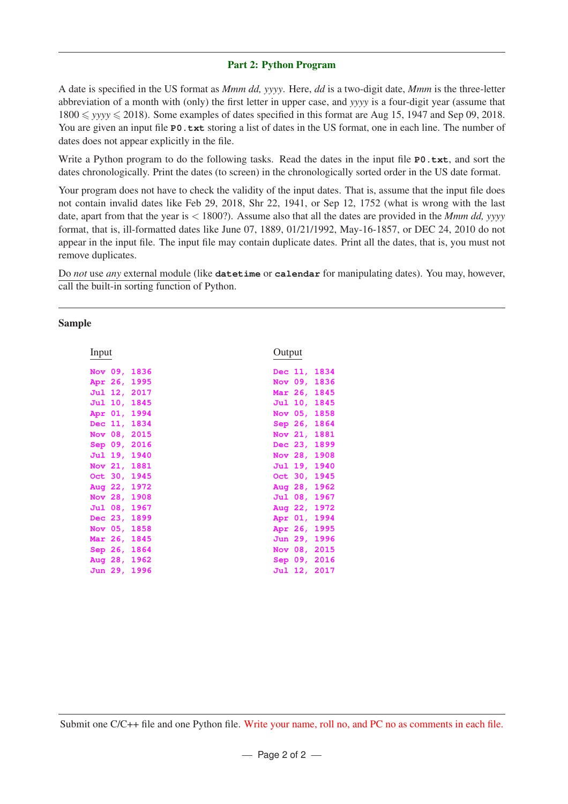# Part 2: Python Program

A date is specified in the US format as *Mmm dd, yyyy*. Here, *dd* is a two-digit date, *Mmm* is the three-letter abbreviation of a month with (only) the first letter in upper case, and *yyyy* is a four-digit year (assume that  $1800 \leq$  *yyyy*  $\leq$  2018). Some examples of dates specified in this format are Aug 15, 1947 and Sep 09, 2018. You are given an input file **P0.txt** storing a list of dates in the US format, one in each line. The number of dates does not appear explicitly in the file.

Write a Python program to do the following tasks. Read the dates in the input file **P0.txt**, and sort the dates chronologically. Print the dates (to screen) in the chronologically sorted order in the US date format.

Your program does not have to check the validity of the input dates. That is, assume that the input file does not contain invalid dates like Feb 29, 2018, Shr 22, 1941, or Sep 12, 1752 (what is wrong with the last date, apart from that the year is < 1800?). Assume also that all the dates are provided in the *Mmm dd, yyyy* format, that is, ill-formatted dates like June 07, 1889, 01/21/1992, May-16-1857, or DEC 24, 2010 do not appear in the input file. The input file may contain duplicate dates. Print all the dates, that is, you must not remove duplicates.

Do *not* use *any* external module (like **datetime** or **calendar** for manipulating dates). You may, however, call the built-in sorting function of Python.

## Sample

| Input          | Output             |
|----------------|--------------------|
|                |                    |
| Nov 09,        | 1834               |
| 1836           | Dec 11,            |
| Apr 26,        | Nov $09.$          |
| 1995           | 1836               |
| Jul 12,        | Mar 26,            |
| 2017           | 1845               |
| Jul 10,        | Jul 10,            |
| 1845           | 1845               |
| Apr 01,        | Nov $05r$          |
| 1994           | 1858               |
| Dec 11,        | 1864               |
| 1834           | Sep 26,            |
| Nov 08, 2015   | Nov $21,$<br>1881  |
| Sep 09,        | 1899               |
| 2016           | Dec 23,            |
| Jul 19,        | Nov 28,            |
| 1940           | 1908               |
| Nov 21, 1881   | Jul 19,<br>1940    |
| Oct 30, 1945   | Oct $30,$<br>1945  |
| Aug 22, 1972   | 1962<br>Aug 28,    |
| Nov 28, 1908   | Jul 08,<br>1967    |
| Jul 08,        | Aug $22,$          |
| 1967           | 1972               |
| Dec 23, 1899   | Apr $01$ ,<br>1994 |
| Nov $05,$      | Apr 26,            |
| 1858           | 1995               |
| <b>Mar 26,</b> | 1996               |
| 1845           | Jun 29,            |
| Sep 26,        | Nov 08,            |
| 1864           | 2015               |
| Aug 28,        | Sep 09,            |
| 1962           | 2016               |
| Jun 29,        | 2017               |
| 1996           | Jul 12,            |
|                |                    |

Submit one C/C++ file and one Python file. Write your name, roll no, and PC no as comments in each file.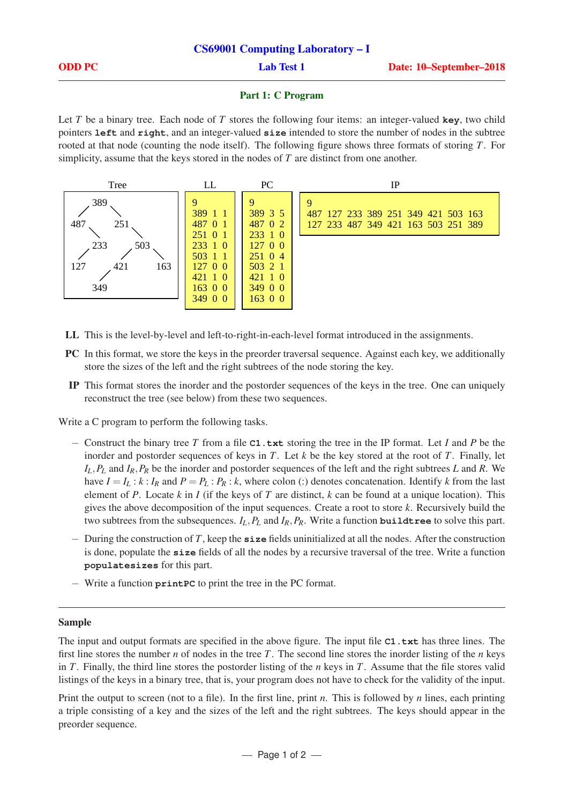### Part 1: C Program

Let *T* be a binary tree. Each node of *T* stores the following four items: an integer-valued **key**, two child pointers **left** and **right**, and an integer-valued **size** intended to store the number of nodes in the subtree rooted at that node (counting the node itself). The following figure shows three formats of storing *T*. For simplicity, assume that the keys stored in the nodes of *T* are distinct from one another.



- LL This is the level-by-level and left-to-right-in-each-level format introduced in the assignments.
- PC In this format, we store the keys in the preorder traversal sequence. Against each key, we additionally store the sizes of the left and the right subtrees of the node storing the key.
- IP This format stores the inorder and the postorder sequences of the keys in the tree. One can uniquely reconstruct the tree (see below) from these two sequences.

Write a C program to perform the following tasks.

- − Construct the binary tree *T* from a file **C1.txt** storing the tree in the IP format. Let *I* and *P* be the inorder and postorder sequences of keys in *T*. Let *k* be the key stored at the root of *T*. Finally, let *IL*,*P<sup>L</sup>* and *IR*,*P<sup>R</sup>* be the inorder and postorder sequences of the left and the right subtrees *L* and *R*. We have  $I = I_L : k : I_R$  and  $P = P_L : P_R : k$ , where colon (:) denotes concatenation. Identify *k* from the last element of *P*. Locate *k* in *I* (if the keys of *T* are distinct, *k* can be found at a unique location). This gives the above decomposition of the input sequences. Create a root to store *k*. Recursively build the two subtrees from the subsequences.  $I_L$ ,  $P_L$  and  $I_R$ ,  $P_R$ . Write a function **buildtree** to solve this part.
- − During the construction of *T*, keep the **size** fields uninitialized at all the nodes. After the construction is done, populate the **size** fields of all the nodes by a recursive traversal of the tree. Write a function **populatesizes** for this part.
- − Write a function **printPC** to print the tree in the PC format.

## Sample

The input and output formats are specified in the above figure. The input file **C1.txt** has three lines. The first line stores the number *n* of nodes in the tree *T*. The second line stores the inorder listing of the *n* keys in *T*. Finally, the third line stores the postorder listing of the *n* keys in *T*. Assume that the file stores valid listings of the keys in a binary tree, that is, your program does not have to check for the validity of the input.

Print the output to screen (not to a file). In the first line, print *n*. This is followed by *n* lines, each printing a triple consisting of a key and the sizes of the left and the right subtrees. The keys should appear in the preorder sequence.